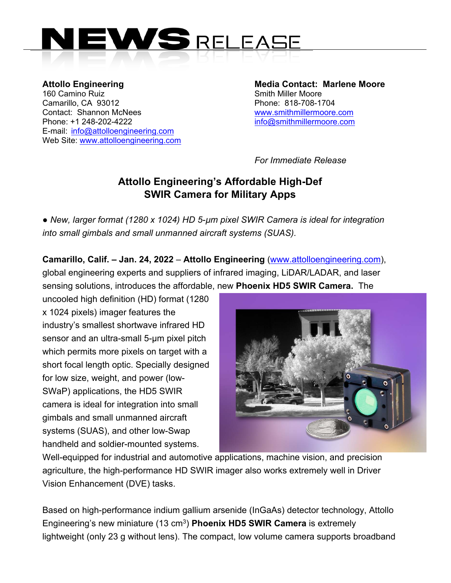

Attollo Engineering **Media Contact: Marlene Moore** 160 Camino Ruiz **Smith Miller Moore** Smith Miller Moore Camarillo, CA 93012 Phone: 818-708-1704 Contact: Shannon McNees www.smithmillermoore.com Phone: +1 248-202-4222 info@smithmillermoore.com E-mail: info@attolloengineering.com Web Site: www.attolloengineering.com

*For Immediate Release* 

## **Attollo Engineering's Affordable High-Def SWIR Camera for Military Apps**

*● New, larger format (1280 x 1024) HD 5-µm pixel SWIR Camera is ideal for integration into small gimbals and small unmanned aircraft systems (SUAS).* 

**Camarillo, Calif. – Jan. 24, 2022** – **Attollo Engineering** (www.attolloengineering.com), global engineering experts and suppliers of infrared imaging, LiDAR/LADAR, and laser sensing solutions, introduces the affordable, new **Phoenix HD5 SWIR Camera.** The

uncooled high definition (HD) format (1280 x 1024 pixels) imager features the industry's smallest shortwave infrared HD sensor and an ultra-small 5-µm pixel pitch which permits more pixels on target with a short focal length optic. Specially designed for low size, weight, and power (low-SWaP) applications, the HD5 SWIR camera is ideal for integration into small gimbals and small unmanned aircraft systems (SUAS), and other low-Swap handheld and soldier-mounted systems.



Well-equipped for industrial and automotive applications, machine vision, and precision agriculture, the high-performance HD SWIR imager also works extremely well in Driver Vision Enhancement (DVE) tasks.

Based on high-performance indium gallium arsenide (InGaAs) detector technology, Attollo Engineering's new miniature (13 cm3) **Phoenix HD5 SWIR Camera** is extremely lightweight (only 23 g without lens). The compact, low volume camera supports broadband